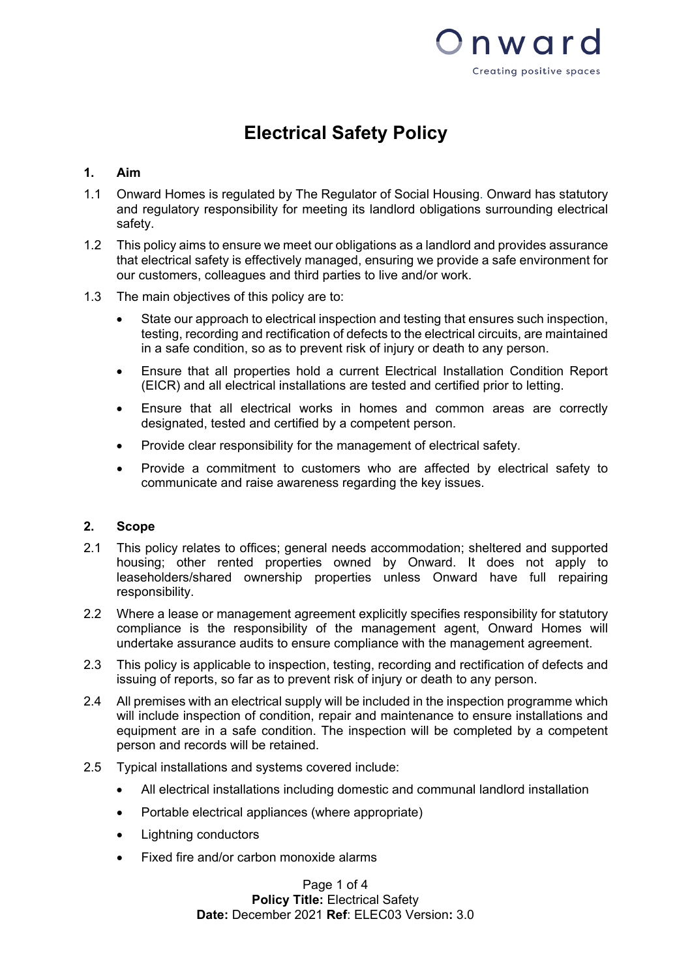

# **Electrical Safety Policy**

# **1. Aim**

- 1.1 Onward Homes is regulated by The Regulator of Social Housing. Onward has statutory and regulatory responsibility for meeting its landlord obligations surrounding electrical safety.
- 1.2 This policy aims to ensure we meet our obligations as a landlord and provides assurance that electrical safety is effectively managed, ensuring we provide a safe environment for our customers, colleagues and third parties to live and/or work.
- 1.3 The main objectives of this policy are to:
	- State our approach to electrical inspection and testing that ensures such inspection, testing, recording and rectification of defects to the electrical circuits, are maintained in a safe condition, so as to prevent risk of injury or death to any person.
	- Ensure that all properties hold a current Electrical Installation Condition Report (EICR) and all electrical installations are tested and certified prior to letting.
	- Ensure that all electrical works in homes and common areas are correctly designated, tested and certified by a competent person.
	- Provide clear responsibility for the management of electrical safety.
	- Provide a commitment to customers who are affected by electrical safety to communicate and raise awareness regarding the key issues.

### **2. Scope**

- 2.1 This policy relates to offices; general needs accommodation; sheltered and supported housing; other rented properties owned by Onward. It does not apply to leaseholders/shared ownership properties unless Onward have full repairing responsibility.
- 2.2 Where a lease or management agreement explicitly specifies responsibility for statutory compliance is the responsibility of the management agent, Onward Homes will undertake assurance audits to ensure compliance with the management agreement.
- 2.3 This policy is applicable to inspection, testing, recording and rectification of defects and issuing of reports, so far as to prevent risk of injury or death to any person.
- 2.4 All premises with an electrical supply will be included in the inspection programme which will include inspection of condition, repair and maintenance to ensure installations and equipment are in a safe condition. The inspection will be completed by a competent person and records will be retained.
- 2.5 Typical installations and systems covered include:
	- All electrical installations including domestic and communal landlord installation
	- Portable electrical appliances (where appropriate)
	- Lightning conductors
	- Fixed fire and/or carbon monoxide alarms

Page 1 of 4 **Policy Title:** Electrical Safety **Date:** December 2021 **Ref**: ELEC03 Version**:** 3.0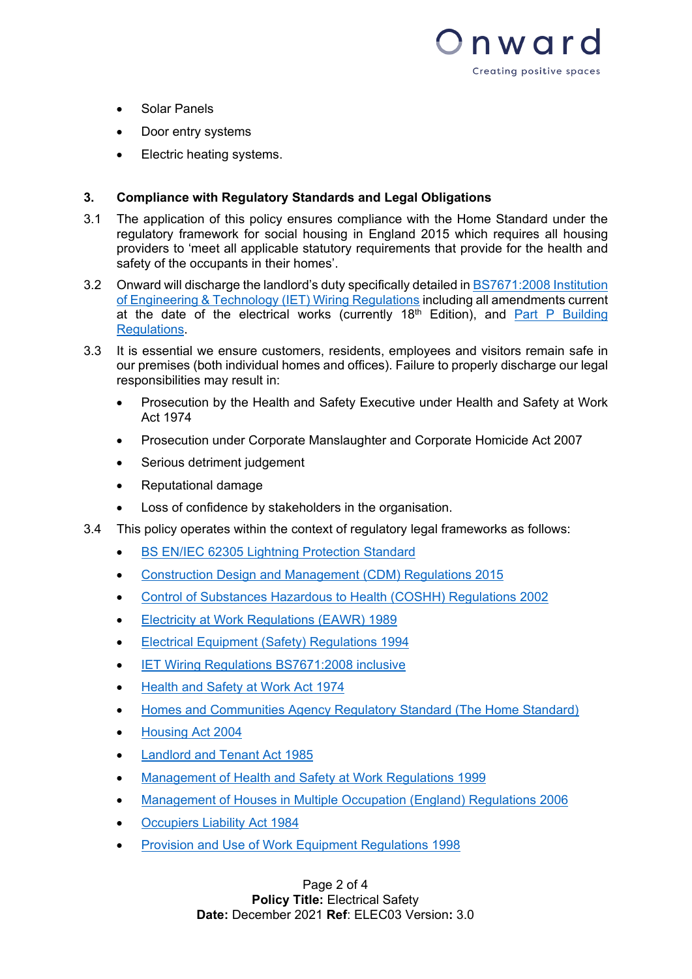

- Solar Panels
- Door entry systems
- Electric heating systems.

# **3. Compliance with Regulatory Standards and Legal Obligations**

- 3.1 The application of this policy ensures compliance with the Home Standard under the regulatory framework for social housing in England 2015 which requires all housing providers to 'meet all applicable statutory requirements that provide for the health and safety of the occupants in their homes'.
- 3.2 Onward will discharge the landlord's duty specifically detailed in [BS7671:2008 Institution](http://electrical.theiet.org/wiring-regulations/)  [of Engineering & Technology \(IET\) Wiring Regulations](http://electrical.theiet.org/wiring-regulations/) including all amendments current at the date of the electrical works (currently  $18<sup>th</sup>$  Edition), and Part P Building [Regulations.](http://webarchive.nationalarchives.gov.uk/20151113141044/http:/www.planningportal.gov.uk/uploads/br/br_pdf_ad_p_2013.pdf)
- 3.3 It is essential we ensure customers, residents, employees and visitors remain safe in our premises (both individual homes and offices). Failure to properly discharge our legal responsibilities may result in:
	- Prosecution by the Health and Safety Executive under Health and Safety at Work Act 1974
	- Prosecution under Corporate Manslaughter and Corporate Homicide Act 2007
	- Serious detriment judgement
	- Reputational damage
	- Loss of confidence by stakeholders in the organisation.
- 3.4 This policy operates within the context of regulatory legal frameworks as follows:
	- [BS EN/IEC 62305 Lightning Protection Standard](http://www-public.tnb.com/eel/docs/furse/BS_EN_IEC_62305_standard_series.pdf)
	- [Construction Design and Management](http://www.legislation.gov.uk/uksi/2015/51/pdfs/uksi_20150051_en.pdf) (CDM) Regulations 2015
	- [Control of Substances Hazardous to Health \(COSHH\) Regulations 2002](http://www.hse.gov.uk/pUbns/priced/l5.pdf)
	- Electricity at Work Regulations (EAWR) 1989
	- Electrical Equipment (Safety) Regulations 1994
	- **[IET Wiring Regulations BS7671:2008 inclusive](https://www.cwa.ac.uk/courses/fpdf/business_course.php?cid=195)**
	- [Health and Safety at Work Act 1974](http://www.legislation.gov.uk/ukpga/1974/37)
	- [Homes and Communities Agency Regulatory Standard \(The Home Standard\)](https://www.gov.uk/government/uploads/system/uploads/attachment_data/file/420120/What_is_the_regulatory_framework.pdf)
	- Housing Act 2004
	- **[Landlord and Tenant Act 1985](http://www.legislation.gov.uk/ukpga/1985/70/section/11)**
	- [Management of Health and Safety at Work Regulations 1999](http://www.legislation.gov.uk/uksi/1999/3242/introduction/made)
	- [Management of Houses in Multiple Occupation \(England\) Regulations 2006](http://www.legislation.gov.uk/uksi/2006/372/contents/made)
	- [Occupiers Liability Act 1984](http://www.legislation.gov.uk/ukpga/1984/3/introduction)
	- Provision and Use of Work Equipment Regulations 1998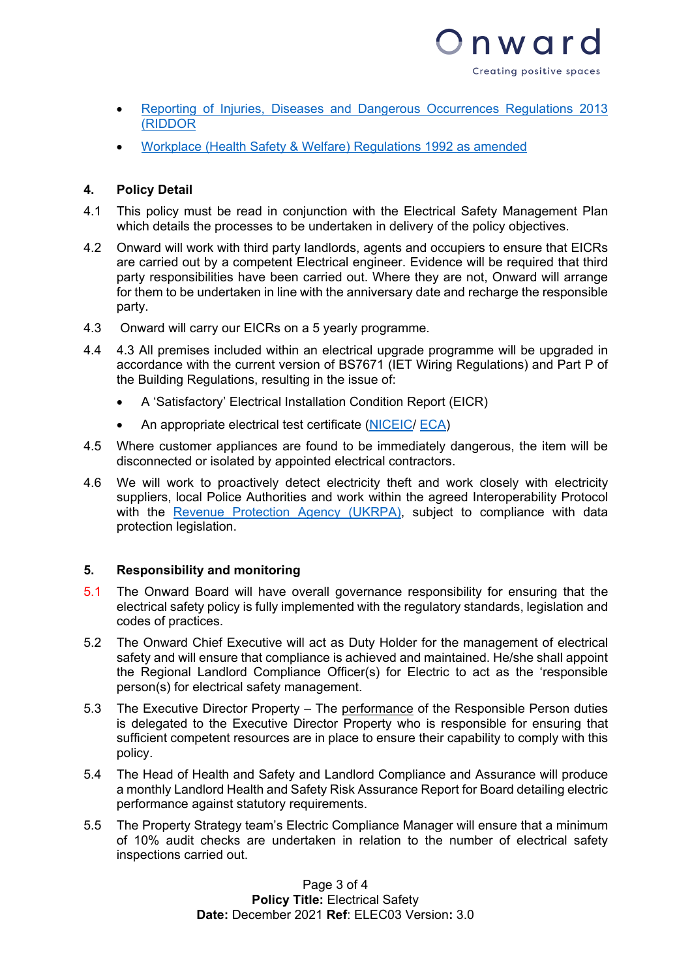

- Reporting of Injuries, Diseases and Dangerous Occurrences Regulations 2013 (RIDDOR
- [Workplace \(Health Safety & Welfare\) Regulations 1992](http://www.hse.gov.uk/pUbns/priced/l24.pdf) as amended

# **4. Policy Detail**

- 4.1 This policy must be read in conjunction with the Electrical Safety Management Plan which details the processes to be undertaken in delivery of the policy objectives.
- 4.2 Onward will work with third party landlords, agents and occupiers to ensure that EICRs are carried out by a competent Electrical engineer. Evidence will be required that third party responsibilities have been carried out. Where they are not, Onward will arrange for them to be undertaken in line with the anniversary date and recharge the responsible party.
- 4.3 Onward will carry our EICRs on a 5 yearly programme.
- 4.4 4.3 All premises included within an electrical upgrade programme will be upgraded in accordance with the current version of BS7671 (IET Wiring Regulations) and Part P of the Building Regulations, resulting in the issue of:
	- A 'Satisfactory' Electrical Installation Condition Report (EICR)
	- An appropriate electrical test certificate [\(NICEIC/](http://www.niceic.com/) [ECA\)](http://www.eca.co.uk/)
- 4.5 Where customer appliances are found to be immediately dangerous, the item will be disconnected or isolated by appointed electrical contractors.
- 4.6 We will work to proactively detect electricity theft and work closely with electricity suppliers, local Police Authorities and work within the agreed Interoperability Protocol with the [Revenue Protection Agency \(UKRPA\),](https://www.ukrpa.co.uk/) subject to compliance with data protection legislation.

### **5. Responsibility and monitoring**

- 5.1 The Onward Board will have overall governance responsibility for ensuring that the electrical safety policy is fully implemented with the regulatory standards, legislation and codes of practices.
- 5.2 The Onward Chief Executive will act as Duty Holder for the management of electrical safety and will ensure that compliance is achieved and maintained. He/she shall appoint the Regional Landlord Compliance Officer(s) for Electric to act as the 'responsible person(s) for electrical safety management.
- 5.3 The Executive Director Property The performance of the Responsible Person duties is delegated to the Executive Director Property who is responsible for ensuring that sufficient competent resources are in place to ensure their capability to comply with this policy.
- 5.4 The Head of Health and Safety and Landlord Compliance and Assurance will produce a monthly Landlord Health and Safety Risk Assurance Report for Board detailing electric performance against statutory requirements.
- 5.5 The Property Strategy team's Electric Compliance Manager will ensure that a minimum of 10% audit checks are undertaken in relation to the number of electrical safety inspections carried out.

Page 3 of 4 **Policy Title:** Electrical Safety **Date:** December 2021 **Ref**: ELEC03 Version**:** 3.0